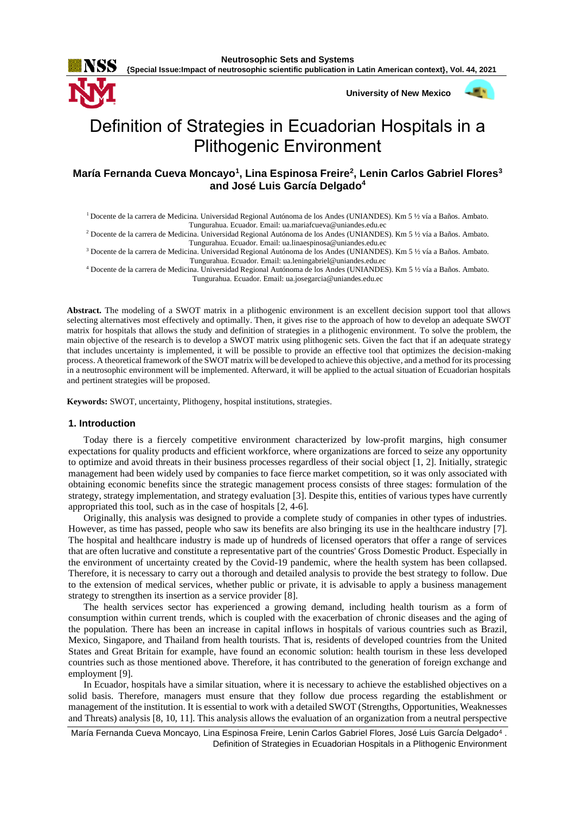

**{Special Issue:Impact of neutrosophic scientific publication in Latin American context}, Vol. 44, 2021**

**University of New Mexico**



394

# Definition of Strategies in Ecuadorian Hospitals in a Plithogenic Environment

# **María Fernanda Cueva Moncayo<sup>1</sup> , Lina Espinosa Freire<sup>2</sup> , Lenin Carlos Gabriel Flores<sup>3</sup> and José Luis García Delgado<sup>4</sup>**

<sup>1</sup>Docente de la carrera de Medicina. Universidad Regional Autónoma de los Andes (UNIANDES). Km 5 ½ vía a Baños. Ambato. Tungurahua. Ecuador. Email[: ua.mariafcueva@uniandes.edu.ec](mailto:ua.mariafcueva@uniandes.edu.ec)

<sup>2</sup> Docente de la carrera de Medicina. Universidad Regional Autónoma de los Andes (UNIANDES). Km 5 ½ vía a Baños. Ambato. Tungurahua. Ecuador. Email[: ua.linaespinosa@uniandes.edu.ec](mailto:ua.linaespinosa@uniandes.edu.ec)

<sup>3</sup> Docente de la carrera de Medicina. Universidad Regional Autónoma de los Andes (UNIANDES). Km 5 ½ vía a Baños. Ambato. Tungurahua. Ecuador. Email: [ua.leningabriel@uniandes.edu.ec](mailto:ua.leningabriel@uniandes.edu.ec)

<sup>4</sup> Docente de la carrera de Medicina. Universidad Regional Autónoma de los Andes (UNIANDES). Km 5 ½ vía a Baños. Ambato. Tungurahua. Ecuador. Email: [ua.josegarcia@uniandes.edu.ec](mailto:ua.josegarcia@uniandes.edu.ec)

**Abstract.** The modeling of a SWOT matrix in a plithogenic environment is an excellent decision support tool that allows selecting alternatives most effectively and optimally. Then, it gives rise to the approach of how to develop an adequate SWOT matrix for hospitals that allows the study and definition of strategies in a plithogenic environment. To solve the problem, the main objective of the research is to develop a SWOT matrix using plithogenic sets. Given the fact that if an adequate strategy that includes uncertainty is implemented, it will be possible to provide an effective tool that optimizes the decision-making process. A theoretical framework of the SWOT matrix will be developed to achieve this objective, and a method for its processing in a neutrosophic environment will be implemented. Afterward, it will be applied to the actual situation of Ecuadorian hospitals and pertinent strategies will be proposed.

**Keywords:** SWOT, uncertainty, Plithogeny, hospital institutions, strategies.

#### **1. Introduction**

Today there is a fiercely competitive environment characterized by low-profit margins, high consumer expectations for quality products and efficient workforce, where organizations are forced to seize any opportunity to optimize and avoid threats in their business processes regardless of their social object [\[1,](#page-6-0) [2\]](#page-6-1). Initially, strategic management had been widely used by companies to face fierce market competition, so it was only associated with obtaining economic benefits since the strategic management process consists of three stages: formulation of the strategy, strategy implementation, and strategy evaluation [\[3\]](#page-6-2). Despite this, entities of various types have currently appropriated this tool, such as in the case of hospitals [\[2,](#page-6-1) [4-6\]](#page-6-3).

Originally, this analysis was designed to provide a complete study of companies in other types of industries. However, as time has passed, people who saw its benefits are also bringing its use in the healthcare industry [\[7\]](#page-7-0). The hospital and healthcare industry is made up of hundreds of licensed operators that offer a range of services that are often lucrative and constitute a representative part of the countries' Gross Domestic Product. Especially in the environment of uncertainty created by the Covid-19 pandemic, where the health system has been collapsed. Therefore, it is necessary to carry out a thorough and detailed analysis to provide the best strategy to follow. Due to the extension of medical services, whether public or private, it is advisable to apply a business management strategy to strengthen its insertion as a service provider [\[8\]](#page-7-1).

The health services sector has experienced a growing demand, including health tourism as a form of consumption within current trends, which is coupled with the exacerbation of chronic diseases and the aging of the population. There has been an increase in capital inflows in hospitals of various countries such as Brazil, Mexico, Singapore, and Thailand from health tourists. That is, residents of developed countries from the United States and Great Britain for example, have found an economic solution: health tourism in these less developed countries such as those mentioned above. Therefore, it has contributed to the generation of foreign exchange and employment [\[9\]](#page-7-2).

In Ecuador, hospitals have a similar situation, where it is necessary to achieve the established objectives on a solid basis. Therefore, managers must ensure that they follow due process regarding the establishment or management of the institution. It is essential to work with a detailed SWOT (Strengths, Opportunities, Weaknesses and Threats) analysis [\[8,](#page-7-1) [10,](#page-7-3) [11\]](#page-7-4). This analysis allows the evaluation of an organization from a neutral perspective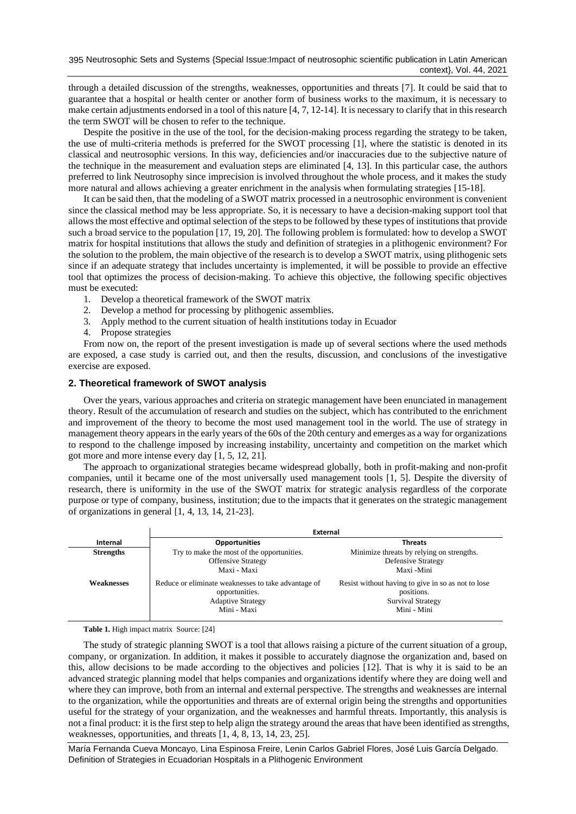through a detailed discussion of the strengths, weaknesses, opportunities and threats [\[7\]](#page-7-0). It could be said that to guarantee that a hospital or health center or another form of business works to the maximum, it is necessary to make certain adjustments endorsed in a tool of this nature [\[4,](#page-6-3) [7,](#page-7-0) [12-14\]](#page-7-5). It is necessary to clarify that in this research the term SWOT will be chosen to refer to the technique.

Despite the positive in the use of the tool, for the decision-making process regarding the strategy to be taken, the use of multi-criteria methods is preferred for the SWOT processing [\[1\]](#page-6-0), where the statistic is denoted in its classical and neutrosophic versions. In this way, deficiencies and/or inaccuracies due to the subjective nature of the technique in the measurement and evaluation steps are eliminated [\[4,](#page-6-3) [13\]](#page-7-6). In this particular case, the authors preferred to link Neutrosophy since imprecision is involved throughout the whole process, and it makes the study more natural and allows achieving a greater enrichment in the analysis when formulating strategies [\[15-18\]](#page-7-7).

It can be said then, that the modeling of a SWOT matrix processed in a neutrosophic environment is convenient since the classical method may be less appropriate. So, it is necessary to have a decision-making support tool that allows the most effective and optimal selection of the steps to be followed by these types of institutions that provide such a broad service to the population [\[17,](#page-7-8) [19,](#page-7-9) [20\]](#page-7-10). The following problem is formulated: how to develop a SWOT matrix for hospital institutions that allows the study and definition of strategies in a plithogenic environment? For the solution to the problem, the main objective of the research is to develop a SWOT matrix, using plithogenic sets since if an adequate strategy that includes uncertainty is implemented, it will be possible to provide an effective tool that optimizes the process of decision-making. To achieve this objective, the following specific objectives must be executed:

- 1. Develop a theoretical framework of the SWOT matrix
- 2. Develop a method for processing by plithogenic assemblies.
- 3. Apply method to the current situation of health institutions today in Ecuador
- 4. Propose strategies

From now on, the report of the present investigation is made up of several sections where the used methods are exposed, a case study is carried out, and then the results, discussion, and conclusions of the investigative exercise are exposed.

# **2. Theoretical framework of SWOT analysis**

Over the years, various approaches and criteria on strategic management have been enunciated in management theory. Result of the accumulation of research and studies on the subject, which has contributed to the enrichment and improvement of the theory to become the most used management tool in the world. The use of strategy in management theory appears in the early years of the 60s of the 20th century and emerges as a way for organizations to respond to the challenge imposed by increasing instability, uncertainty and competition on the market which got more and more intense every day [\[1,](#page-6-0) [5,](#page-6-4) [12,](#page-7-5) [21\]](#page-7-11).

The approach to organizational strategies became widespread globally, both in profit-making and non-profit companies, until it became one of the most universally used management tools [\[1,](#page-6-0) [5\]](#page-6-4). Despite the diversity of research, there is uniformity in the use of the SWOT matrix for strategic analysis regardless of the corporate purpose or type of company, business, institution; due to the impacts that it generates on the strategic management of organizations in general [\[1,](#page-6-0) [4,](#page-6-3) [13,](#page-7-6) [14,](#page-7-12) [21-23\]](#page-7-11).

|                   | <b>External</b>                                                                                                  |                                                                                                             |  |
|-------------------|------------------------------------------------------------------------------------------------------------------|-------------------------------------------------------------------------------------------------------------|--|
| Internal          | <b>Opportunities</b>                                                                                             | <b>Threats</b>                                                                                              |  |
| <b>Strengths</b>  | Try to make the most of the opportunities.<br><b>Offensive Strategy</b><br>Maxi - Maxi                           | Minimize threats by relying on strengths.<br><b>Defensive Strategy</b><br>Maxi -Mini                        |  |
| <b>Weaknesses</b> | Reduce or eliminate weaknesses to take advantage of<br>opportunities.<br><b>Adaptive Strategy</b><br>Mini - Maxi | Resist without having to give in so as not to lose<br>positions.<br><b>Survival Strategy</b><br>Mini - Mini |  |

**Table 1.** High impact matrix Source: [\[24\]](#page-7-13)

The study of strategic planning SWOT is a tool that allows raising a picture of the current situation of a group, company, or organization. In addition, it makes it possible to accurately diagnose the organization and, based on this, allow decisions to be made according to the objectives and policies [\[12\]](#page-7-5). That is why it is said to be an advanced strategic planning model that helps companies and organizations identify where they are doing well and where they can improve, both from an internal and external perspective. The strengths and weaknesses are internal to the organization, while the opportunities and threats are of external origin being the strengths and opportunities useful for the strategy of your organization, and the weaknesses and harmful threats. Importantly, this analysis is not a final product: it is the first step to help align the strategy around the areas that have been identified as strengths, weaknesses, opportunities, and threats [\[1,](#page-6-0) [4,](#page-6-3) [8,](#page-7-1) [13,](#page-7-6) [14,](#page-7-12) [23,](#page-7-14) [25\]](#page-7-15).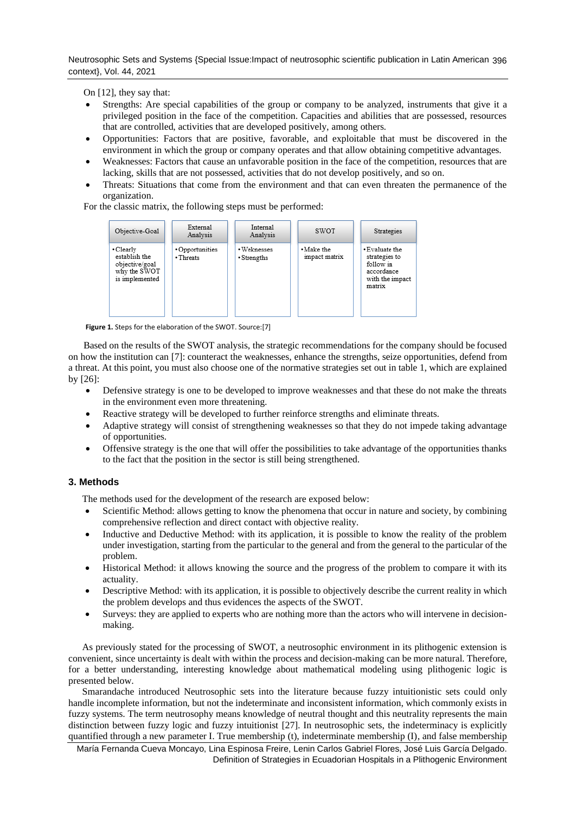Neutrosophic Sets and Systems {Special Issue:Impact of neutrosophic scientific publication in Latin American 396 context}, Vol. 44, 2021

On [\[12\]](#page-7-5), they say that:

- Strengths: Are special capabilities of the group or company to be analyzed, instruments that give it a privileged position in the face of the competition. Capacities and abilities that are possessed, resources that are controlled, activities that are developed positively, among others.
- Opportunities: Factors that are positive, favorable, and exploitable that must be discovered in the environment in which the group or company operates and that allow obtaining competitive advantages.
- Weaknesses: Factors that cause an unfavorable position in the face of the competition, resources that are lacking, skills that are not possessed, activities that do not develop positively, and so on.
- Threats: Situations that come from the environment and that can even threaten the permanence of the organization.

For the classic matrix, the following steps must be performed:



**Figure 1.** Steps for the elaboration of the SWOT. Source:[\[7\]](#page-7-0)

Based on the results of the SWOT analysis, the strategic recommendations for the company should be focused on how the institution can [\[7\]](#page-7-0): counteract the weaknesses, enhance the strengths, seize opportunities, defend from a threat. At this point, you must also choose one of the normative strategies set out in table 1, which are explained by [\[26\]](#page-7-16):

- Defensive strategy is one to be developed to improve weaknesses and that these do not make the threats in the environment even more threatening.
- Reactive strategy will be developed to further reinforce strengths and eliminate threats.
- Adaptive strategy will consist of strengthening weaknesses so that they do not impede taking advantage of opportunities.
- Offensive strategy is the one that will offer the possibilities to take advantage of the opportunities thanks to the fact that the position in the sector is still being strengthened.

# **3. Methods**

The methods used for the development of the research are exposed below:

- Scientific Method: allows getting to know the phenomena that occur in nature and society, by combining comprehensive reflection and direct contact with objective reality.
- Inductive and Deductive Method: with its application, it is possible to know the reality of the problem under investigation, starting from the particular to the general and from the general to the particular of the problem.
- Historical Method: it allows knowing the source and the progress of the problem to compare it with its actuality.
- Descriptive Method: with its application, it is possible to objectively describe the current reality in which the problem develops and thus evidences the aspects of the SWOT.
- Surveys: they are applied to experts who are nothing more than the actors who will intervene in decisionmaking.

As previously stated for the processing of SWOT, a neutrosophic environment in its plithogenic extension is convenient, since uncertainty is dealt with within the process and decision-making can be more natural. Therefore, for a better understanding, interesting knowledge about mathematical modeling using plithogenic logic is presented below.

Smarandache introduced Neutrosophic sets into the literature because fuzzy intuitionistic sets could only handle incomplete information, but not the indeterminate and inconsistent information, which commonly exists in fuzzy systems. The term neutrosophy means knowledge of neutral thought and this neutrality represents the main distinction between fuzzy logic and fuzzy intuitionist [\[27\]](#page-7-17). In neutrosophic sets, the indeterminacy is explicitly quantified through a new parameter I. True membership (t), indeterminate membership (I), and false membership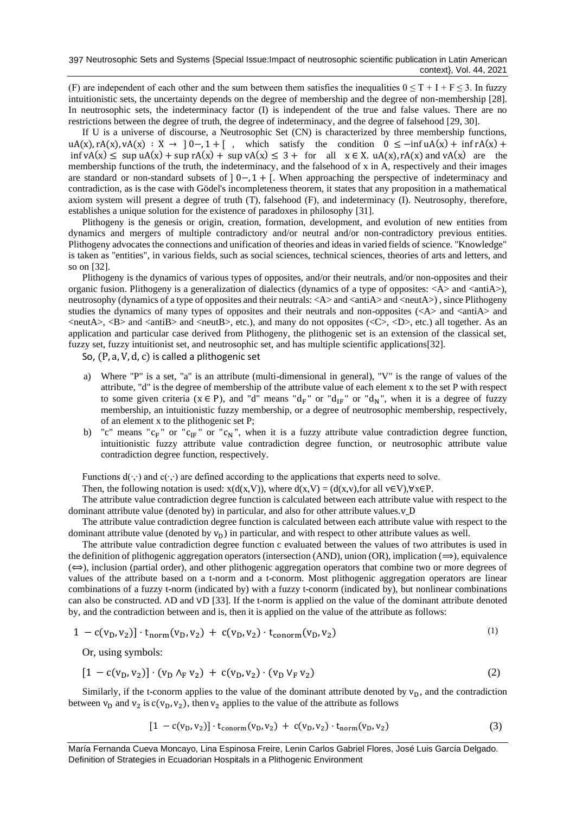(F) are independent of each other and the sum between them satisfies the inequalities  $0 \le T + I + F \le 3$ . In fuzzy intuitionistic sets, the uncertainty depends on the degree of membership and the degree of non-membership [\[28\]](#page-7-18). In neutrosophic sets, the indeterminacy factor (I) is independent of the true and false values. There are no restrictions between the degree of truth, the degree of indeterminacy, and the degree of falsehood [\[29,](#page-7-19) [30\]](#page-7-20).

If U is a universe of discourse, a Neutrosophic Set (CN) is characterized by three membership functions,  $uA(x), rA(x), vA(x) : X \rightarrow [0-,1+[\ , \ ]$  which satisfy the condition  $0 \le -\inf uA(x) + \inf rA(x) +$ inf vA(x) ≤ sup uA(x) + sup rA(x) + sup vA(x) ≤ 3 + for all  $x \in X$ . uA(x), rA(x) and vA(x) are the membership functions of the truth, the indeterminacy, and the falsehood of x in A, respectively and their images are standard or non-standard subsets of  $] 0-.1 +$  [. When approaching the perspective of indeterminacy and contradiction, as is the case with Gödel's incompleteness theorem, it states that any proposition in a mathematical axiom system will present a degree of truth (T), falsehood (F), and indeterminacy (I). Neutrosophy, therefore, establishes a unique solution for the existence of paradoxes in philosophy [\[31\]](#page-7-21).

Plithogeny is the genesis or origin, creation, formation, development, and evolution of new entities from dynamics and mergers of multiple contradictory and/or neutral and/or non-contradictory previous entities. Plithogeny advocates the connections and unification of theories and ideas in varied fields of science. "Knowledge" is taken as "entities", in various fields, such as social sciences, technical sciences, theories of arts and letters, and so on [\[32\]](#page-7-22).

Plithogeny is the dynamics of various types of opposites, and/or their neutrals, and/or non-opposites and their organic fusion. Plithogeny is a generalization of dialectics (dynamics of a type of opposites:  $\langle A \rangle$  and  $\langle \text{antiA}\rangle$ ), neutrosophy (dynamics of a type of opposites and their neutrals: <A> and <antiA> and <neutA>), since Plithogeny studies the dynamics of many types of opposites and their neutrals and non-opposites  $\langle \langle A \rangle$  and  $\langle \langle \rangle$  and  $\langle \rangle$  and  $\langle$ neutA $\rangle$ ,  $\langle$ B $\rangle$  and  $\langle$ antiB $\rangle$  and  $\langle$ neutB $\rangle$ , etc.), and many do not opposites ( $\langle$ C $\rangle$ ,  $\langle$ D $\rangle$ , etc.) all together. As an application and particular case derived from Plithogeny, the plithogenic set is an extension of the classical set, fuzzy set, fuzzy intuitionist set, and neutrosophic set, and has multiple scientific applications[\[32\]](#page-7-22).

So, (P, a, V, d, c) is called a plithogenic set

- a) Where "P" is a set, "a" is an attribute (multi-dimensional in general), "V" is the range of values of the attribute, "d" is the degree of membership of the attribute value of each element x to the set P with respect to some given criteria ( $x \in P$ ), and "d" means "d<sub>F</sub>" or "d<sub>IF</sub>" or "d<sub>N</sub>", when it is a degree of fuzzy membership, an intuitionistic fuzzy membership, or a degree of neutrosophic membership, respectively, of an element x to the plithogenic set P;
- b) "c" means " $c_F$ " or " $c_{IF}$ " or " $c_N$ ", when it is a fuzzy attribute value contradiction degree function, intuitionistic fuzzy attribute value contradiction degree function, or neutrosophic attribute value contradiction degree function, respectively.

Functions  $d(\cdot, \cdot)$  and  $c(\cdot, \cdot)$  are defined according to the applications that experts need to solve.

Then, the following notation is used:  $x(d(x,V))$ , where  $d(x,V) = (d(x,v)$ , for all  $v \in V$ ), $\forall x \in P$ .

The attribute value contradiction degree function is calculated between each attribute value with respect to the dominant attribute value (denoted by) in particular, and also for other attribute values.v\_D

The attribute value contradiction degree function is calculated between each attribute value with respect to the dominant attribute value (denoted by  $v_D$ ) in particular, and with respect to other attribute values as well.

The attribute value contradiction degree function c evaluated between the values of two attributes is used in the definition of plithogenic aggregation operators (intersection (AND), union (OR), implication  $(\implies)$ , equivalence  $(\Leftrightarrow)$ , inclusion (partial order), and other plithogenic aggregation operators that combine two or more degrees of values of the attribute based on a t-norm and a t-conorm. Most plithogenic aggregation operators are linear combinations of a fuzzy t-norm (indicated by) with a fuzzy t-conorm (indicated by), but nonlinear combinations can also be constructed. ∧D and ∨D [\[33\]](#page-7-23). If the t-norm is applied on the value of the dominant attribute denoted by, and the contradiction between and is, then it is applied on the value of the attribute as follows:

$$
1 - c(v_D, v_2)] \cdot t_{norm}(v_D, v_2) + c(v_D, v_2) \cdot t_{conorm}(v_D, v_2)
$$
 (1)

Or, using symbols:

$$
[1 - c(v_D, v_2)] \cdot (v_D \wedge_F v_2) + c(v_D, v_2) \cdot (v_D \vee_F v_2)
$$
 (2)

Similarly, if the t-conorm applies to the value of the dominant attribute denoted by  $v_D$ , and the contradiction between  $v_D$  and  $v_2$  is  $c(v_D, v_2)$ , then  $v_2$  applies to the value of the attribute as follows

$$
[1 - c(v_D, v_2)] \cdot t_{\text{conorm}}(v_D, v_2) + c(v_D, v_2) \cdot t_{\text{norm}}(v_D, v_2)
$$
 (3)

María Fernanda Cueva Moncayo, Lina Espinosa Freire, Lenin Carlos Gabriel Flores, José Luis García Delgado. Definition of Strategies in Ecuadorian Hospitals in a Plithogenic Environment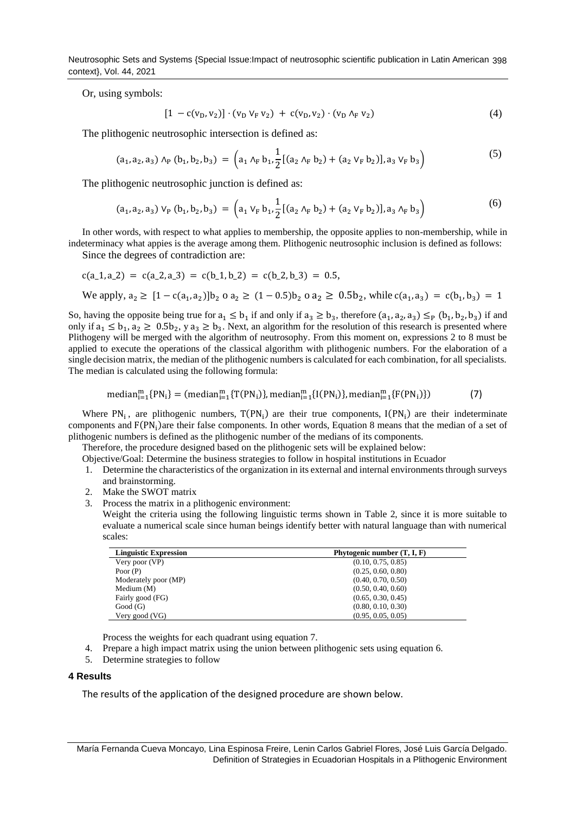Neutrosophic Sets and Systems {Special Issue:Impact of neutrosophic scientific publication in Latin American 398 context}, Vol. 44, 2021

Or, using symbols:

$$
[1 - c(v_D, v_2)] \cdot (v_D \, v_F \, v_2) + c(v_D, v_2) \cdot (v_D \, \Lambda_F \, v_2) \tag{4}
$$

The plithogenic neutrosophic intersection is defined as:

$$
(a_1, a_2, a_3) \wedge_P (b_1, b_2, b_3) = \left( a_1 \wedge_F b_1, \frac{1}{2} [(a_2 \wedge_F b_2) + (a_2 \vee_F b_2)], a_3 \vee_F b_3 \right)
$$
 (5)

The plithogenic neutrosophic junction is defined as:

$$
(a_1, a_2, a_3) \vee_P (b_1, b_2, b_3) = \left( a_1 \vee_F b_1, \frac{1}{2} [(a_2 \wedge_F b_2) + (a_2 \vee_F b_2)], a_3 \wedge_F b_3 \right)
$$
 (6)

In other words, with respect to what applies to membership, the opposite applies to non-membership, while in indeterminacy what appies is the average among them. Plithogenic neutrosophic inclusion is defined as follows:

Since the degrees of contradiction are:

$$
c(a_1, a_2) = c(a_2, a_3) = c(b_1, b_2) = c(b_2, b_3) = 0.5,
$$
  
We apply,  $a_2 \ge [1 - c(a_1, a_2)]b_2 \text{ o } a_2 \ge (1 - 0.5)b_2 \text{ o } a_2 \ge 0.5b_2$ , while  $c(a_1, a_3) = c(b_1, b_3) = 1$ 

So, having the opposite being true for  $a_1 \leq b_1$  if and only if  $a_3 \geq b_3$ , therefore  $(a_1, a_2, a_3) \leq_P (b_1, b_2, b_3)$  if and only if  $a_1 \le b_1$ ,  $a_2 \ge 0.5b_2$ , y  $a_3 \ge b_3$ . Next, an algorithm for the resolution of this research is presented where Plithogeny will be merged with the algorithm of neutrosophy. From this moment on, expressions 2 to 8 must be applied to execute the operations of the classical algorithm with plithogenic numbers. For the elaboration of a single decision matrix, the median of the plithogenic numbers is calculated for each combination, for all specialists. The median is calculated using the following formula:

$$
median_{i=1}^{m} \{PN_{i}\} = (median_{i=1}^{m} \{T(PN_{i})\}, median_{i=1}^{m} \{I(PN_{i})\}, median_{i=1}^{m} \{F(PN_{i})\})
$$
(7)

Where  $PN_i$ , are plithogenic numbers,  $T(PN_i)$  are their true components,  $I(PN_i)$  are their indeterminate components and F(PN<sub>i</sub>)are their false components. In other words, Equation 8 means that the median of a set of plithogenic numbers is defined as the plithogenic number of the medians of its components.

Therefore, the procedure designed based on the plithogenic sets will be explained below:

Objective/Goal: Determine the business strategies to follow in hospital institutions in Ecuador

- 1. Determine the characteristics of the organization in its external and internal environments through surveys and brainstorming.
- 2. Make the SWOT matrix
- 3. Process the matrix in a plithogenic environment:

Weight the criteria using the following linguistic terms shown in Table 2, since it is more suitable to evaluate a numerical scale since human beings identify better with natural language than with numerical scales:

| <b>Linguistic Expression</b> | Phytogenic number $(T, I, F)$ |
|------------------------------|-------------------------------|
| Very poor $(VP)$             | (0.10, 0.75, 0.85)            |
| Poor $(P)$                   | (0.25, 0.60, 0.80)            |
| Moderately poor (MP)         | (0.40, 0.70, 0.50)            |
| Medium $(M)$                 | (0.50, 0.40, 0.60)            |
| Fairly good (FG)             | (0.65, 0.30, 0.45)            |
| Good(G)                      | (0.80, 0.10, 0.30)            |
| Very good $(VG)$             | (0.95, 0.05, 0.05)            |

Process the weights for each quadrant using equation 7.

- 4. Prepare a high impact matrix using the union between plithogenic sets using equation 6.
- 5. Determine strategies to follow

## **4 Results**

The results of the application of the designed procedure are shown below.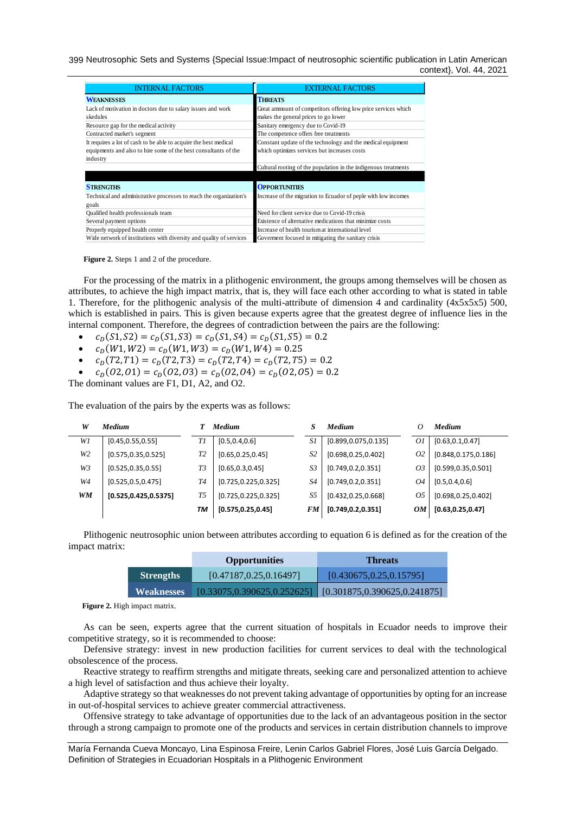399 Neutrosophic Sets and Systems {Special Issue:Impact of neutrosophic scientific publication in Latin American context}, Vol. 44, 2021

| <b>INTERNAL FACTORS</b>                                             | <b>EXTERNAL FACTORS</b>                                         |
|---------------------------------------------------------------------|-----------------------------------------------------------------|
| <b>WEAKNESSES</b>                                                   | <b>THREATS</b>                                                  |
| Lack of motivation in doctors due to salary issues and work         | Great ammount of competitors offering low price services which  |
| skedules                                                            | makes the general prices to go lower                            |
| Resource gap for the medical activity                               | Sanitary emergency due to Covid-19                              |
| Contracted market's segment                                         | The competence offers free treatments                           |
| It requires a lot of cash to be able to acquire the best medical    | Constant update of the technology and the medical equipment     |
| equipments and also to hire some of the best consultants of the     | which optimizes services but increases costs                    |
| industry                                                            |                                                                 |
|                                                                     | Cultural rooting of the population in the indigenous treatments |
|                                                                     |                                                                 |
| <b>STRENGTHS</b>                                                    | <b>OPPORTUNITIES</b>                                            |
| Technical and administrative processes to reach the organization's  | Increase of the migration to Ecuador of peple with low incomes  |
| goals                                                               |                                                                 |
| Qualified health professionals team                                 | Need for client service due to Covid-19 crisis                  |
| Several payment options                                             | Existence of alternative medications that minimize costs        |
| Properly equipped health center                                     | Increase of health tourism at international level               |
| Wide network of institutions with diversity and quality of services | Governent focused in mitigating the sanitary crisis             |

**Figure 2.** Steps 1 and 2 of the procedure.

For the processing of the matrix in a plithogenic environment, the groups among themselves will be chosen as attributes, to achieve the high impact matrix, that is, they will face each other according to what is stated in table 1. Therefore, for the plithogenic analysis of the multi-attribute of dimension 4 and cardinality (4x5x5x5) 500, which is established in pairs. This is given because experts agree that the greatest degree of influence lies in the internal component. Therefore, the degrees of contradiction between the pairs are the following:

- $c_D(S1, S2) = c_D(S1, S3) = c_D(S1, S4) = c_D(S1, S5) = 0.2$
- $c_D(W1, W2) = c_D(W1, W3) = c_D(W1, W4) = 0.25$
- $c_D(T2, T1) = c_D(T2, T3) = c_D(T2, T4) = c_D(T2, T5) = 0.2$
- $c_D(02,01) = c_D(02,03) = c_D(02,04) = c_D(02,05) = 0.2$

The dominant values are F1, D1, A2, and O2.

The evaluation of the pairs by the experts was as follows:

| W         | <b>Medium</b>          |                | <b>Medium</b>         |                | Medium                | 0  | <b>Medium</b>         |
|-----------|------------------------|----------------|-----------------------|----------------|-----------------------|----|-----------------------|
| WI        | [0.45, 0.55, 0.55]     | Τl             | [0.5, 0.4, 0.6]       | S1             | [0.899, 0.075, 0.135] | 01 | [0.63, 0.1, 0.47]     |
| W2        | [0.575, 0.35, 0.525]   | T <sub>2</sub> | [0.65, 0.25, 0.45]    | S <sub>2</sub> | [0.698, 0.25, 0.402]  | 02 | [0.848, 0.175, 0.186] |
| W3        | [0.525, 0.35, 0.55]    | T3             | [0.65, 0.3, 0.45]     | S3             | [0.749, 0.2, 0.351]   | 03 | [0.599, 0.35, 0.501]  |
| W4        | [0.525, 0.5, 0.475]    | T4             | [0.725, 0.225, 0.325] | S4             | [0.749, 0.2, 0.351]   | 04 | [0.5, 0.4, 0.6]       |
| <b>WM</b> | [0.525, 0.425, 0.5375] | T5             | [0.725, 0.225, 0.325] | S5             | [0.432, 0.25, 0.668]  | 05 | [0.698, 0.25, 0.402]  |
|           |                        | TМ             | [0.575, 0.25, 0.45]   | FM             | [0.749, 0.2, 0.351]   | OМ | [0.63, 0.25, 0.47]    |

Plithogenic neutrosophic union between attributes according to equation 6 is defined as for the creation of the impact matrix:

|                   | <b>Opportunities</b>     | <b>Threats</b>                                                   |
|-------------------|--------------------------|------------------------------------------------------------------|
| <b>Strengths</b>  | [0.47187, 0.25, 0.16497] | [0.430675, 0.25, 0.15795]                                        |
| <b>Weaknesses</b> |                          | $[0.33075, 0.390625, 0.252625]$ $[0.301875, 0.390625, 0.241875]$ |

Figure 2. High impact matrix.

As can be seen, experts agree that the current situation of hospitals in Ecuador needs to improve their competitive strategy, so it is recommended to choose:

Defensive strategy: invest in new production facilities for current services to deal with the technological obsolescence of the process.

Reactive strategy to reaffirm strengths and mitigate threats, seeking care and personalized attention to achieve a high level of satisfaction and thus achieve their loyalty.

Adaptive strategy so that weaknesses do not prevent taking advantage of opportunities by opting for an increase in out-of-hospital services to achieve greater commercial attractiveness.

Offensive strategy to take advantage of opportunities due to the lack of an advantageous position in the sector through a strong campaign to promote one of the products and services in certain distribution channels to improve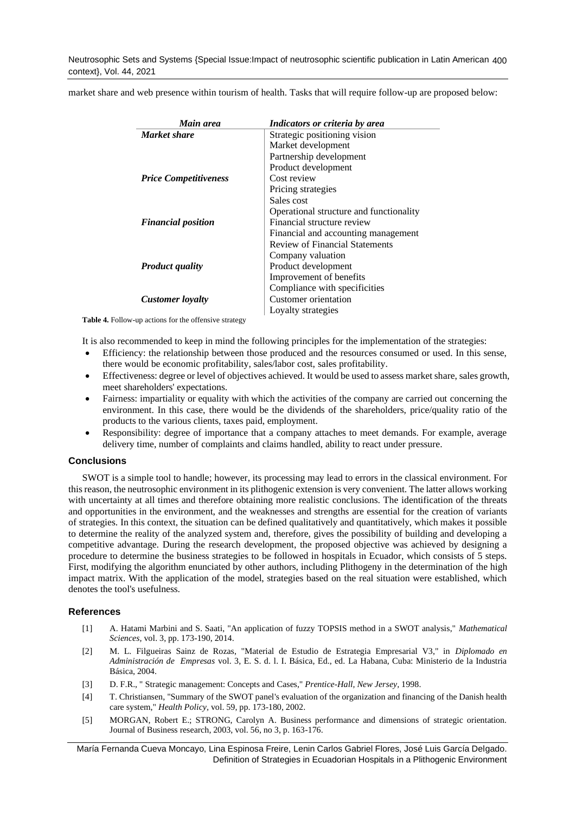Neutrosophic Sets and Systems {Special Issue:Impact of neutrosophic scientific publication in Latin American 400 context}, Vol. 44, 2021

market share and web presence within tourism of health. Tasks that will require follow-up are proposed below:

| Main area                    | Indicators or criteria by area          |
|------------------------------|-----------------------------------------|
| <b>Market share</b>          | Strategic positioning vision            |
|                              | Market development                      |
|                              | Partnership development                 |
|                              | Product development                     |
| <b>Price Competitiveness</b> | Cost review                             |
|                              | Pricing strategies                      |
|                              | Sales cost                              |
|                              | Operational structure and functionality |
| <b>Financial position</b>    | Financial structure review              |
|                              | Financial and accounting management     |
|                              | Review of Financial Statements          |
|                              | Company valuation                       |
| <b>Product quality</b>       | Product development                     |
|                              | Improvement of benefits                 |
|                              | Compliance with specificities           |
| Customer loyalty             | Customer orientation                    |
|                              | Loyalty strategies                      |

**Table 4.** Follow-up actions for the offensive strategy

It is also recommended to keep in mind the following principles for the implementation of the strategies:

- Efficiency: the relationship between those produced and the resources consumed or used. In this sense, there would be economic profitability, sales/labor cost, sales profitability.
- Effectiveness: degree or level of objectives achieved. It would be used to assess market share, sales growth, meet shareholders' expectations.
- Fairness: impartiality or equality with which the activities of the company are carried out concerning the environment. In this case, there would be the dividends of the shareholders, price/quality ratio of the products to the various clients, taxes paid, employment.
- Responsibility: degree of importance that a company attaches to meet demands. For example, average delivery time, number of complaints and claims handled, ability to react under pressure.

## **Conclusions**

SWOT is a simple tool to handle; however, its processing may lead to errors in the classical environment. For this reason, the neutrosophic environment in its plithogenic extension is very convenient. The latter allows working with uncertainty at all times and therefore obtaining more realistic conclusions. The identification of the threats and opportunities in the environment, and the weaknesses and strengths are essential for the creation of variants of strategies. In this context, the situation can be defined qualitatively and quantitatively, which makes it possible to determine the reality of the analyzed system and, therefore, gives the possibility of building and developing a competitive advantage. During the research development, the proposed objective was achieved by designing a procedure to determine the business strategies to be followed in hospitals in Ecuador, which consists of 5 steps. First, modifying the algorithm enunciated by other authors, including Plithogeny in the determination of the high impact matrix. With the application of the model, strategies based on the real situation were established, which denotes the tool's usefulness.

## **References**

- <span id="page-6-0"></span>[1] A. Hatami Marbini and S. Saati, "An application of fuzzy TOPSIS method in a SWOT analysis," *Mathematical Sciences,* vol. 3, pp. 173-190, 2014.
- <span id="page-6-1"></span>[2] M. L. Filgueiras Sainz de Rozas, "Material de Estudio de Estrategia Empresarial V3," in *Diplomado en Administración de Empresas* vol. 3, E. S. d. l. I. Básica, Ed., ed. La Habana, Cuba: Ministerio de la Industria Básica, 2004.
- <span id="page-6-2"></span>[3] D. F.R., " Strategic management: Concepts and Cases," *Prentice-Hall, New Jersey,* 1998.
- <span id="page-6-3"></span>[4] T. Christiansen, "Summary of the SWOT panel's evaluation of the organization and financing of the Danish health care system," *Health Policy,* vol. 59, pp. 173-180, 2002.
- <span id="page-6-4"></span>[5] MORGAN, Robert E.; STRONG, Carolyn A. Business performance and dimensions of strategic orientation. Journal of Business research, 2003, vol. 56, no 3, p. 163-176.